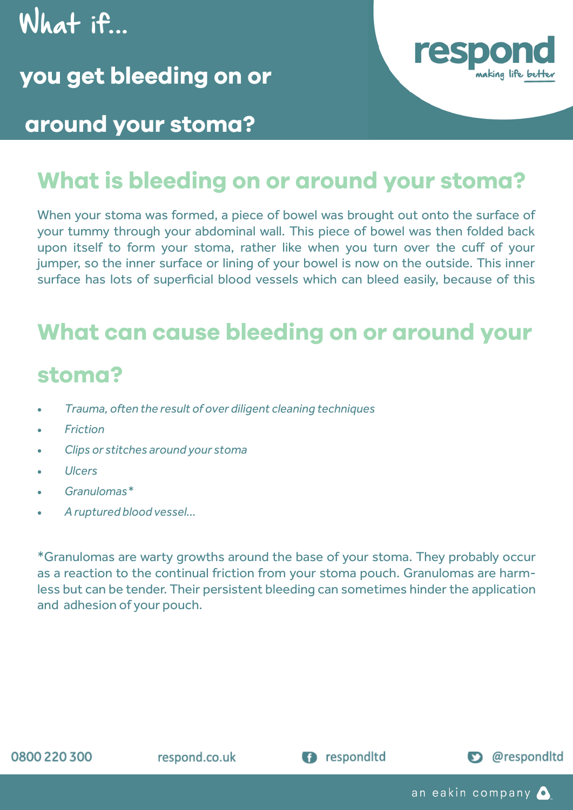What if...

## you get bleeding on or



#### around your stoma?

## What is bleeding on or around your stoma?

When your stoma was formed, a piece of bowel was brought out onto the surface of your tummy through your abdominal wall. This piece of bowel was then folded back upon itself to form your stoma, rather like when you turn over the cuff of your jumper, so the inner surface or lining of your bowel is now on the outside. This inner surface has lots of superficial blood vessels which can bleed easily, because of this

## What can cause bleeding on or around your

#### stoma?

- *Trauma, often the result of over diligent cleaning techniques*
- *Friction*
- *Clips or stitches around your stoma*
- **Ulcers**
- *Granulomas\**
- *A ruptured blood vessel…*

\*Granulomas are warty growths around the base of your stoma. They probably occur as a reaction to the continual friction from your stoma pouch. Granulomas are harmless but can be tender. Their persistent bleeding can sometimes hinder the application and adhesion of your pouch.